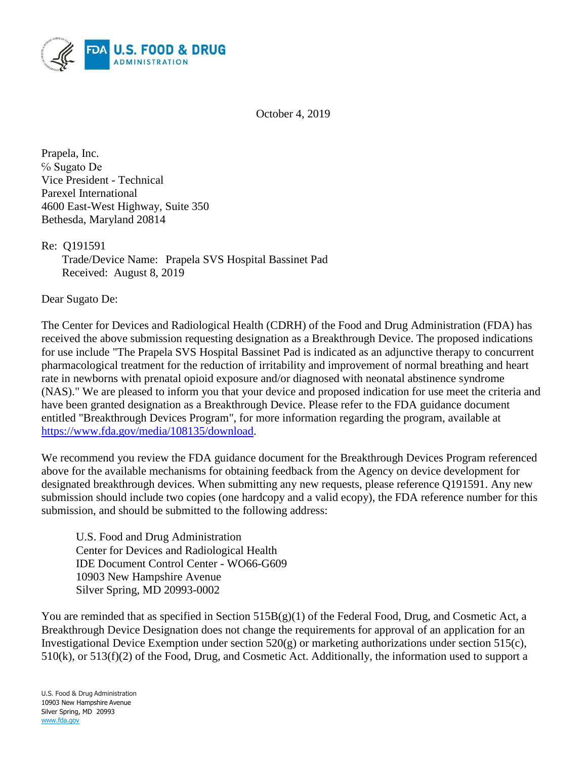

October 4, 2019

Prapela, Inc. ℅ Sugato De Vice President - Technical Parexel International 4600 East-West Highway, Suite 350 Bethesda, Maryland 20814

Re: Q191591

Trade/Device Name: Prapela SVS Hospital Bassinet Pad Received: August 8, 2019

Dear Sugato De:

The Center for Devices and Radiological Health (CDRH) of the Food and Drug Administration (FDA) has received the above submission requesting designation as a Breakthrough Device. The proposed indications for use include "The Prapela SVS Hospital Bassinet Pad is indicated as an adjunctive therapy to concurrent pharmacological treatment for the reduction of irritability and improvement of normal breathing and heart rate in newborns with prenatal opioid exposure and/or diagnosed with neonatal abstinence syndrome (NAS)." We are pleased to inform you that your device and proposed indication for use meet the criteria and have been granted designation as a Breakthrough Device. Please refer to the FDA guidance document entitled "Breakthrough Devices Program", for more information regarding the program, available at [https://www.fda.gov/media/108135/download.](https://www.fda.gov/media/108135/download)

We recommend you review the FDA guidance document for the Breakthrough Devices Program referenced above for the available mechanisms for obtaining feedback from the Agency on device development for designated breakthrough devices. When submitting any new requests, please reference Q191591. Any new submission should include two copies (one hardcopy and a valid ecopy), the FDA reference number for this submission, and should be submitted to the following address:

U.S. Food and Drug Administration Center for Devices and Radiological Health IDE Document Control Center - WO66-G609 10903 New Hampshire Avenue Silver Spring, MD 20993-0002

You are reminded that as specified in Section 515B(g)(1) of the Federal Food, Drug, and Cosmetic Act, a Breakthrough Device Designation does not change the requirements for approval of an application for an Investigational Device Exemption under section 520(g) or marketing authorizations under section 515(c), 510(k), or 513(f)(2) of the Food, Drug, and Cosmetic Act. Additionally, the information used to support a